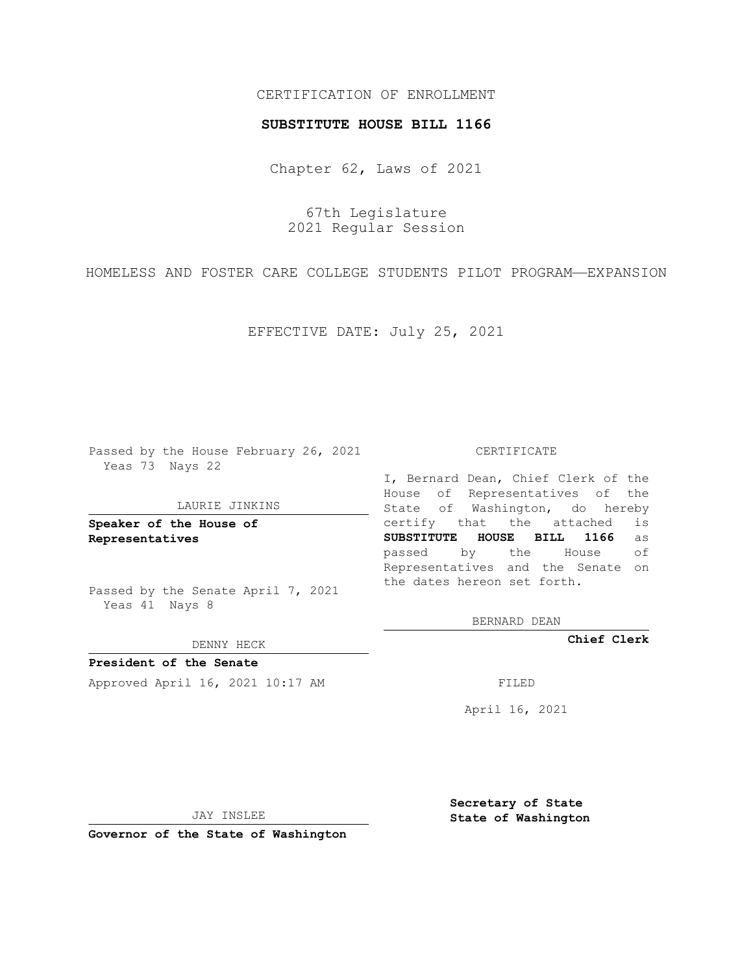## CERTIFICATION OF ENROLLMENT

### **SUBSTITUTE HOUSE BILL 1166**

Chapter 62, Laws of 2021

67th Legislature 2021 Regular Session

HOMELESS AND FOSTER CARE COLLEGE STUDENTS PILOT PROGRAM—EXPANSION

EFFECTIVE DATE: July 25, 2021

Passed by the House February 26, 2021 Yeas 73 Nays 22

#### LAURIE JINKINS

**Speaker of the House of Representatives**

Passed by the Senate April 7, 2021 Yeas 41 Nays 8

#### DENNY HECK

**President of the Senate** Approved April 16, 2021 10:17 AM FILED

CERTIFICATE

I, Bernard Dean, Chief Clerk of the House of Representatives of the State of Washington, do hereby certify that the attached is **SUBSTITUTE HOUSE BILL 1166** as passed by the House of Representatives and the Senate on the dates hereon set forth.

BERNARD DEAN

**Chief Clerk**

April 16, 2021

JAY INSLEE

**Governor of the State of Washington**

**Secretary of State State of Washington**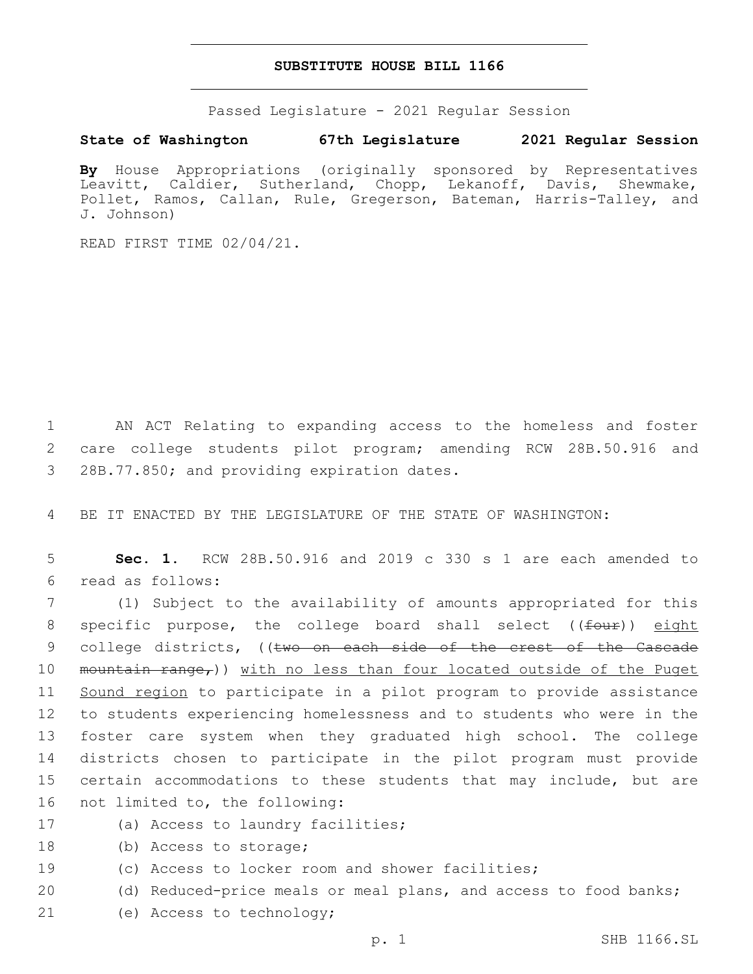## **SUBSTITUTE HOUSE BILL 1166**

Passed Legislature - 2021 Regular Session

# **State of Washington 67th Legislature 2021 Regular Session**

**By** House Appropriations (originally sponsored by Representatives Leavitt, Caldier, Sutherland, Chopp, Lekanoff, Davis, Shewmake, Pollet, Ramos, Callan, Rule, Gregerson, Bateman, Harris-Talley, and J. Johnson)

READ FIRST TIME 02/04/21.

1 AN ACT Relating to expanding access to the homeless and foster 2 care college students pilot program; amending RCW 28B.50.916 and 3 28B.77.850; and providing expiration dates.

4 BE IT ENACTED BY THE LEGISLATURE OF THE STATE OF WASHINGTON:

5 **Sec. 1.** RCW 28B.50.916 and 2019 c 330 s 1 are each amended to read as follows:6

7 (1) Subject to the availability of amounts appropriated for this 8 specific purpose, the college board shall select ((four)) eight 9 college districts, ((two on each side of the crest of the Cascade 10 mountain range,)) with no less than four located outside of the Puget 11 Sound region to participate in a pilot program to provide assistance 12 to students experiencing homelessness and to students who were in the 13 foster care system when they graduated high school. The college 14 districts chosen to participate in the pilot program must provide 15 certain accommodations to these students that may include, but are 16 not limited to, the following:

- 17 (a) Access to laundry facilities;
- 18 (b) Access to storage;
- 19 (c) Access to locker room and shower facilities;
- 20 (d) Reduced-price meals or meal plans, and access to food banks;
- 21 (e) Access to technology;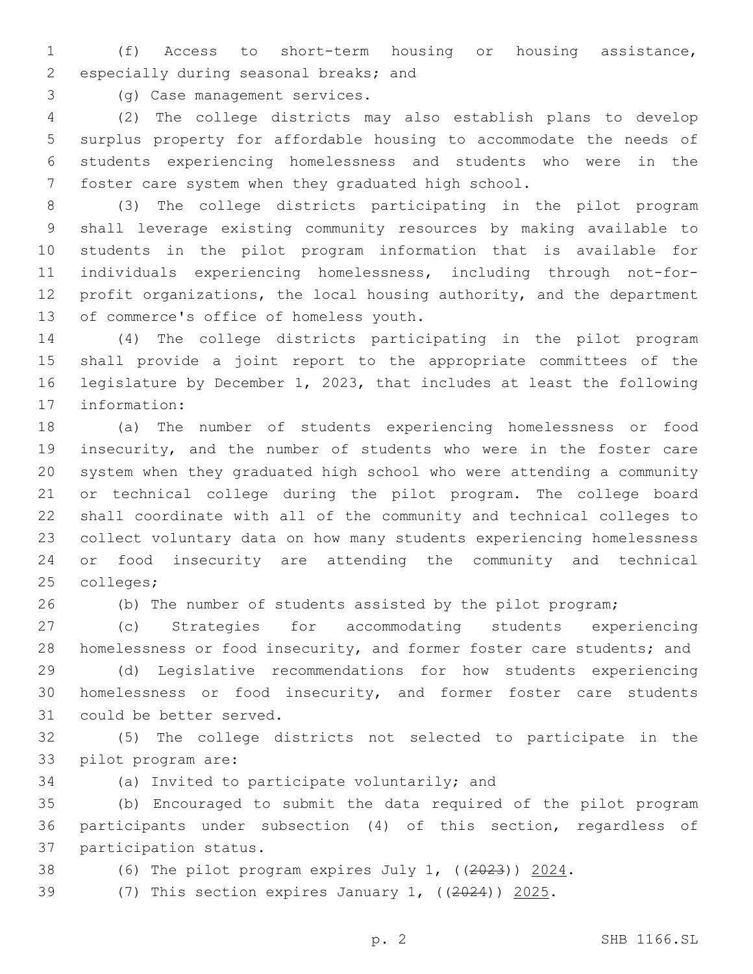(f) Access to short-term housing or housing assistance, 2 especially during seasonal breaks; and

(g) Case management services.3

 (2) The college districts may also establish plans to develop surplus property for affordable housing to accommodate the needs of students experiencing homelessness and students who were in the foster care system when they graduated high school.

 (3) The college districts participating in the pilot program shall leverage existing community resources by making available to students in the pilot program information that is available for individuals experiencing homelessness, including through not-for-12 profit organizations, the local housing authority, and the department 13 of commerce's office of homeless youth.

 (4) The college districts participating in the pilot program shall provide a joint report to the appropriate committees of the legislature by December 1, 2023, that includes at least the following 17 information:

 (a) The number of students experiencing homelessness or food insecurity, and the number of students who were in the foster care system when they graduated high school who were attending a community or technical college during the pilot program. The college board shall coordinate with all of the community and technical colleges to collect voluntary data on how many students experiencing homelessness or food insecurity are attending the community and technical 25 colleges;

(b) The number of students assisted by the pilot program;

 (c) Strategies for accommodating students experiencing homelessness or food insecurity, and former foster care students; and

 (d) Legislative recommendations for how students experiencing homelessness or food insecurity, and former foster care students 31 could be better served.

 (5) The college districts not selected to participate in the 33 pilot program are:

34 (a) Invited to participate voluntarily; and

 (b) Encouraged to submit the data required of the pilot program participants under subsection (4) of this section, regardless of 37 participation status.

38 (6) The pilot program expires July 1, ((2023)) 2024.

(7) This section expires January 1, ((2024)) 2025.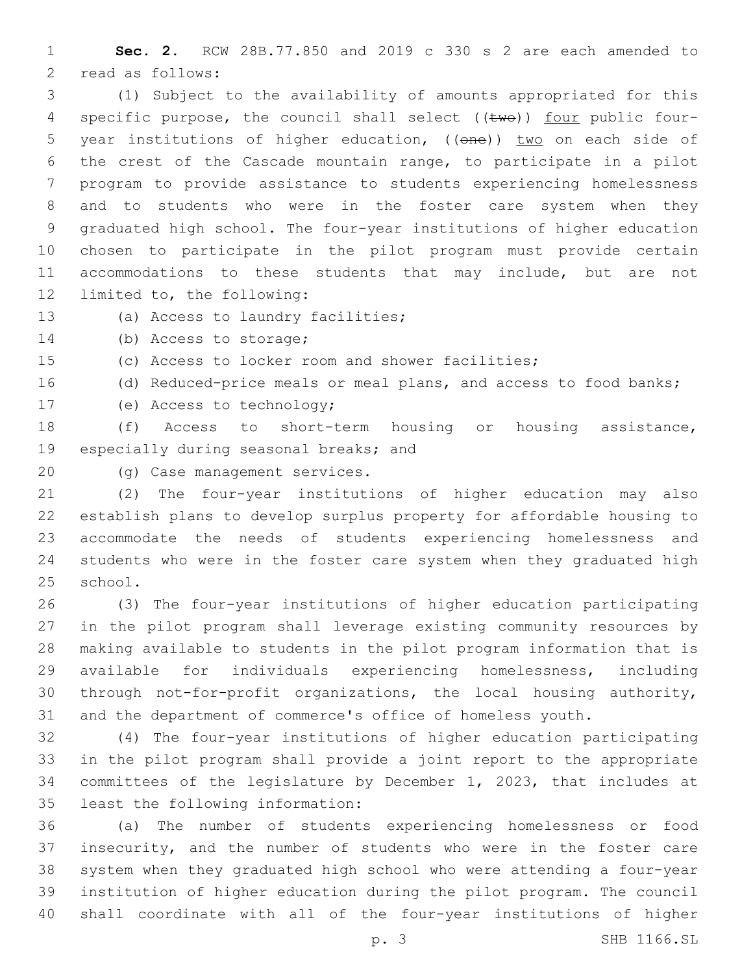**Sec. 2.** RCW 28B.77.850 and 2019 c 330 s 2 are each amended to 2 read as follows:

 (1) Subject to the availability of amounts appropriated for this 4 specific purpose, the council shall select ((twe)) four public four-5 year institutions of higher education, ((one)) two on each side of the crest of the Cascade mountain range, to participate in a pilot program to provide assistance to students experiencing homelessness and to students who were in the foster care system when they graduated high school. The four-year institutions of higher education chosen to participate in the pilot program must provide certain accommodations to these students that may include, but are not 12 limited to, the following:

13 (a) Access to laundry facilities;

14 (b) Access to storage;

(c) Access to locker room and shower facilities;

(d) Reduced-price meals or meal plans, and access to food banks;

17 (e) Access to technology;

 (f) Access to short-term housing or housing assistance, 19 especially during seasonal breaks; and

20 (g) Case management services.

 (2) The four-year institutions of higher education may also establish plans to develop surplus property for affordable housing to accommodate the needs of students experiencing homelessness and students who were in the foster care system when they graduated high 25 school.

 (3) The four-year institutions of higher education participating in the pilot program shall leverage existing community resources by making available to students in the pilot program information that is available for individuals experiencing homelessness, including through not-for-profit organizations, the local housing authority, and the department of commerce's office of homeless youth.

 (4) The four-year institutions of higher education participating in the pilot program shall provide a joint report to the appropriate committees of the legislature by December 1, 2023, that includes at 35 least the following information:

 (a) The number of students experiencing homelessness or food insecurity, and the number of students who were in the foster care system when they graduated high school who were attending a four-year institution of higher education during the pilot program. The council shall coordinate with all of the four-year institutions of higher